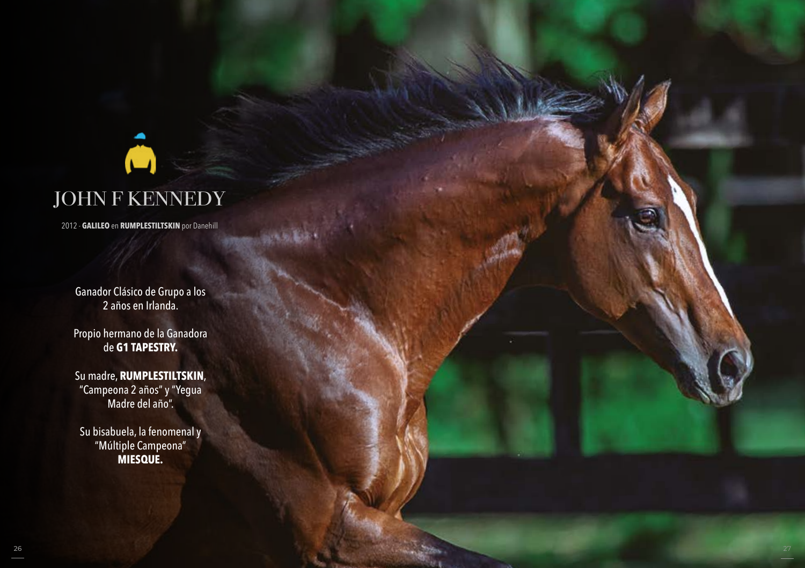# Ô JOHN F KENNEDY

2012 - **GALILEO** en **RUMPLESTILTSKIN** por Danehill

Ganador Clásico de Grupo a los 2 años en Irlanda.

Propio hermano de la Ganadora de **G1 TAPESTRY.**

Su madre, **RUMPLESTILTSKIN**, "Campeona 2 años" y "Yegua Madre del año".

Su bisabuela, la fenomenal y "Múltiple Campeona" **MIESQUE.**